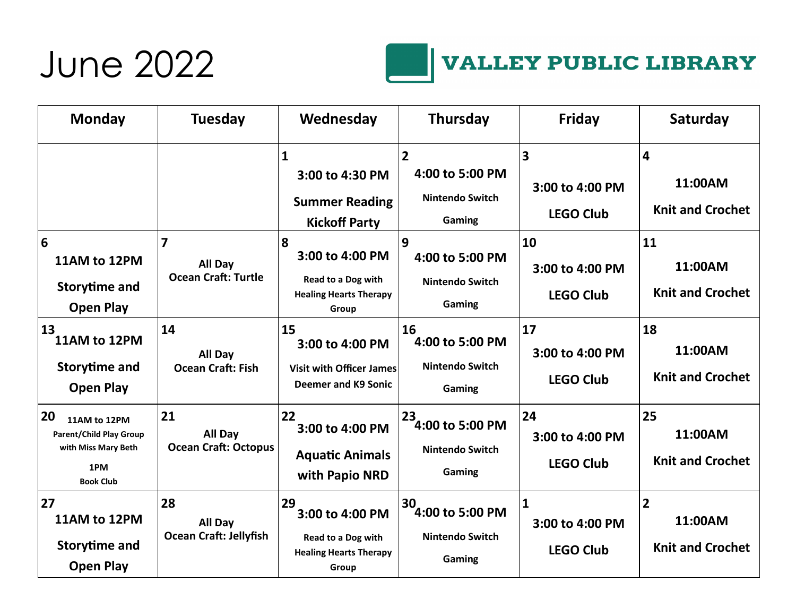#### June 2022



| <b>Monday</b>                                                                                          | <b>Tuesday</b>                                                   | Wednesday                                                                              | <b>Thursday</b>                                                       | <b>Friday</b>                                       | Saturday                                 |
|--------------------------------------------------------------------------------------------------------|------------------------------------------------------------------|----------------------------------------------------------------------------------------|-----------------------------------------------------------------------|-----------------------------------------------------|------------------------------------------|
|                                                                                                        |                                                                  | $\mathbf{1}$<br>3:00 to 4:30 PM<br><b>Summer Reading</b><br><b>Kickoff Party</b>       | $\overline{2}$<br>4:00 to 5:00 PM<br><b>Nintendo Switch</b><br>Gaming | 3<br>3:00 to 4:00 PM<br><b>LEGO Club</b>            | 4<br>11:00AM<br><b>Knit and Crochet</b>  |
| 6<br>11AM to 12PM<br><b>Storytime and</b><br><b>Open Play</b>                                          | $\overline{\mathbf{z}}$<br>All Day<br><b>Ocean Craft: Turtle</b> | 8<br>3:00 to 4:00 PM<br>Read to a Dog with<br><b>Healing Hearts Therapy</b><br>Group   | 9<br>4:00 to 5:00 PM<br><b>Nintendo Switch</b><br>Gaming              | 10<br>3:00 to 4:00 PM<br><b>LEGO Club</b>           | 11<br>11:00AM<br><b>Knit and Crochet</b> |
| 13<br>11AM to 12PM<br><b>Storytime and</b><br><b>Open Play</b>                                         | 14<br>All Day<br><b>Ocean Craft: Fish</b>                        | 15<br>3:00 to 4:00 PM<br><b>Visit with Officer James</b><br><b>Deemer and K9 Sonic</b> | 16<br>4:00 to 5:00 PM<br><b>Nintendo Switch</b><br>Gaming             | 17<br>3:00 to 4:00 PM<br><b>LEGO Club</b>           | 18<br>11:00AM<br><b>Knit and Crochet</b> |
| 20<br>11AM to 12PM<br><b>Parent/Child Play Group</b><br>with Miss Mary Beth<br>1PM<br><b>Book Club</b> | 21<br>All Day<br><b>Ocean Craft: Octopus</b>                     | 22<br>3:00 to 4:00 PM<br><b>Aquatic Animals</b><br>with Papio NRD                      | 23<br>4:00 to 5:00 PM<br><b>Nintendo Switch</b><br>Gaming             | 24<br>3:00 to 4:00 PM<br><b>LEGO Club</b>           | 25<br>11:00AM<br><b>Knit and Crochet</b> |
| 27<br>11AM to 12PM<br><b>Storytime and</b><br><b>Open Play</b>                                         | 28<br>All Day<br><b>Ocean Craft: Jellyfish</b>                   | 29<br>3:00 to 4:00 PM<br>Read to a Dog with<br><b>Healing Hearts Therapy</b><br>Group  | 30<br>4:00 to 5:00 PM<br><b>Nintendo Switch</b><br>Gaming             | $\mathbf{1}$<br>3:00 to 4:00 PM<br><b>LEGO Club</b> | 2<br>11:00AM<br><b>Knit and Crochet</b>  |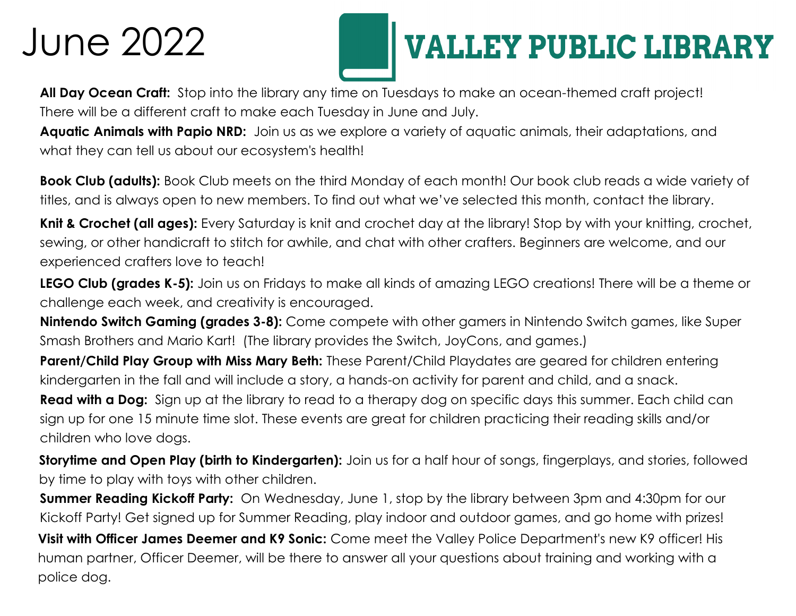### June 2022

## **VALLEY PUBLIC LIBRARY**

**All Day Ocean Craft:** Stop into the library any time on Tuesdays to make an ocean-themed craft project! There will be a different craft to make each Tuesday in June and July.

**Aquatic Animals with Papio NRD:** Join us as we explore a variety of aquatic animals, their adaptations, and what they can tell us about our ecosystem's health!

**Book Club (adults):** Book Club meets on the third Monday of each month! Our book club reads a wide variety of titles, and is always open to new members. To find out what we've selected this month, contact the library.

**Knit & Crochet (all ages):** Every Saturday is knit and crochet day at the library! Stop by with your knitting, crochet, sewing, or other handicraft to stitch for awhile, and chat with other crafters. Beginners are welcome, and our experienced crafters love to teach!

**LEGO Club (grades K-5):** Join us on Fridays to make all kinds of amazing LEGO creations! There will be a theme or challenge each week, and creativity is encouraged.

**Nintendo Switch Gaming (grades 3-8):** Come compete with other gamers in Nintendo Switch games, like Super Smash Brothers and Mario Kart! (The library provides the Switch, JoyCons, and games.)

**Parent/Child Play Group with Miss Mary Beth:** These Parent/Child Playdates are geared for children entering kindergarten in the fall and will include a story, a hands-on activity for parent and child, and a snack.

**Read with a Dog:** Sign up at the library to read to a therapy dog on specific days this summer. Each child can sign up for one 15 minute time slot. These events are great for children practicing their reading skills and/or children who love dogs.

**Storytime and Open Play (birth to Kindergarten):** Join us for a half hour of songs, fingerplays, and stories, followed by time to play with toys with other children.

**Summer Reading Kickoff Party:** On Wednesday, June 1, stop by the library between 3pm and 4:30pm for our Kickoff Party! Get signed up for Summer Reading, play indoor and outdoor games, and go home with prizes!

**Visit with Officer James Deemer and K9 Sonic:** Come meet the Valley Police Department's new K9 officer! His human partner, Officer Deemer, will be there to answer all your questions about training and working with a police dog.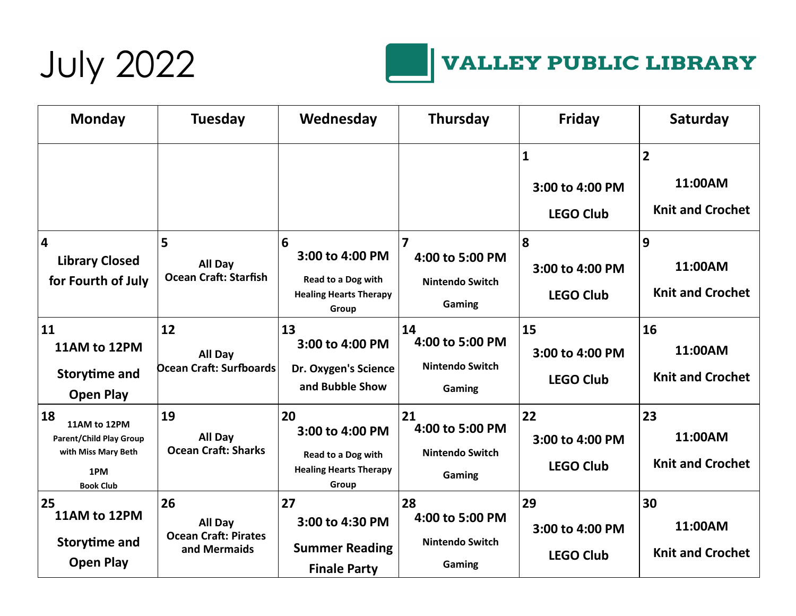



#### **VALLEY PUBLIC LIBRARY**

| <b>Monday</b>                                                                                          | <b>Tuesday</b>                                               | Wednesday                                                                             | <b>Thursday</b>                                                                | <b>Friday</b>                                       | Saturday                                             |
|--------------------------------------------------------------------------------------------------------|--------------------------------------------------------------|---------------------------------------------------------------------------------------|--------------------------------------------------------------------------------|-----------------------------------------------------|------------------------------------------------------|
|                                                                                                        |                                                              |                                                                                       |                                                                                | $\mathbf{1}$<br>3:00 to 4:00 PM<br><b>LEGO Club</b> | $\overline{2}$<br>11:00AM<br><b>Knit and Crochet</b> |
| 4<br><b>Library Closed</b><br>for Fourth of July                                                       | 5<br>All Day<br><b>Ocean Craft: Starfish</b>                 | 6<br>3:00 to 4:00 PM<br>Read to a Dog with<br><b>Healing Hearts Therapy</b><br>Group  | $\overline{\mathbf{z}}$<br>4:00 to 5:00 PM<br><b>Nintendo Switch</b><br>Gaming | 8<br>3:00 to 4:00 PM<br><b>LEGO Club</b>            | 9<br>11:00AM<br><b>Knit and Crochet</b>              |
| 11<br>11AM to 12PM<br><b>Storytime and</b><br><b>Open Play</b>                                         | 12<br>All Day<br><b>Ocean Craft: Surfboards</b>              | 13<br>3:00 to 4:00 PM<br>Dr. Oxygen's Science<br>and Bubble Show                      | 14<br>4:00 to 5:00 PM<br>Nintendo Switch<br>Gaming                             | 15<br>3:00 to 4:00 PM<br><b>LEGO Club</b>           | 16<br>11:00AM<br><b>Knit and Crochet</b>             |
| 18<br>11AM to 12PM<br><b>Parent/Child Play Group</b><br>with Miss Mary Beth<br>1PM<br><b>Book Club</b> | 19<br>All Day<br><b>Ocean Craft: Sharks</b>                  | 20<br>3:00 to 4:00 PM<br>Read to a Dog with<br><b>Healing Hearts Therapy</b><br>Group | 21<br>4:00 to 5:00 PM<br><b>Nintendo Switch</b><br>Gaming                      | 22<br>3:00 to 4:00 PM<br><b>LEGO Club</b>           | 23<br>11:00AM<br><b>Knit and Crochet</b>             |
| 25<br>11AM to 12PM<br><b>Storytime and</b><br><b>Open Play</b>                                         | 26<br>All Day<br><b>Ocean Craft: Pirates</b><br>and Mermaids | 27<br>3:00 to 4:30 PM<br><b>Summer Reading</b><br><b>Finale Party</b>                 | 28<br>4:00 to 5:00 PM<br><b>Nintendo Switch</b><br>Gaming                      | 29<br>3:00 to 4:00 PM<br><b>LEGO Club</b>           | 30<br>11:00AM<br><b>Knit and Crochet</b>             |